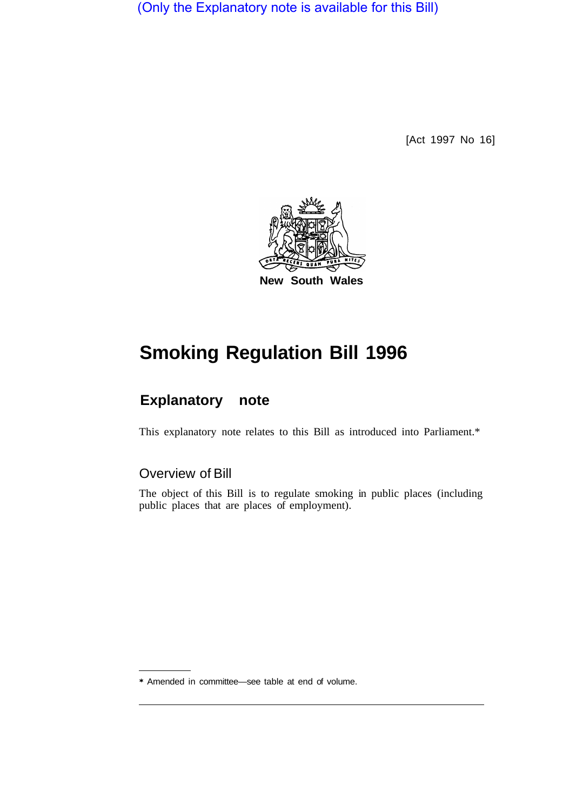(Only the Explanatory note is available for this Bill)

[Act 1997 No 16]



## **Smoking Regulation Bill 1996**

## **Explanatory note**

This explanatory note relates to this Bill as introduced into Parliament.\*

## Overview of Bill

The object of this Bill is to regulate smoking in public places (including public places that are places of employment).

\* Amended in committee—see table at end of volume.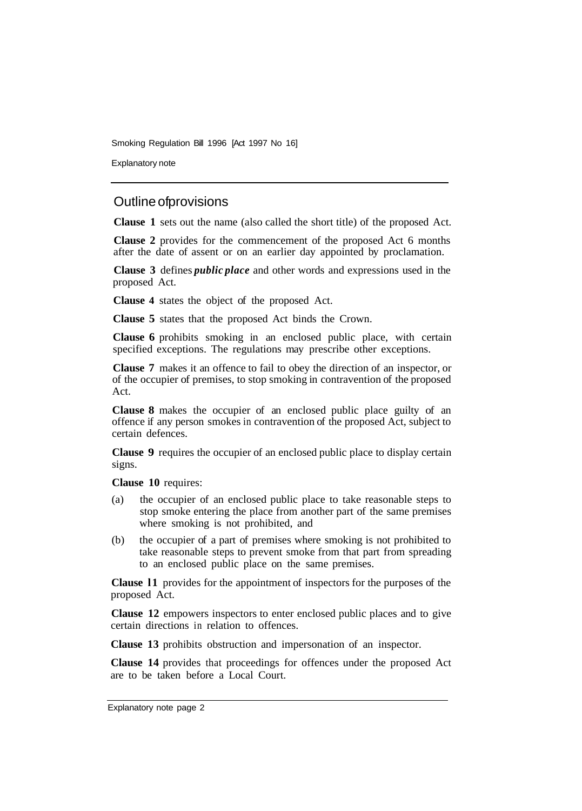Smoking Regulation Bill 1996 [Act 1997 No 16]

Explanatory note

## Outline of provisions

**Clause 1** sets out the name (also called the short title) of the proposed Act.

**Clause 2** provides for the commencement of the proposed Act 6 months after the date of assent or on an earlier day appointed by proclamation.

**Clause 3** defines *public place* and other words and expressions used in the proposed Act.

**Clause 4** states the object of the proposed Act.

**Clause 5** states that the proposed Act binds the Crown.

**Clause 6** prohibits smoking in an enclosed public place, with certain specified exceptions. The regulations may prescribe other exceptions.

**Clause 7** makes it an offence to fail to obey the direction of an inspector, or of the occupier of premises, to stop smoking in contravention of the proposed Act.

**Clause 8** makes the occupier of an enclosed public place guilty of an offence if any person smokes in contravention of the proposed Act, subject to certain defences.

**Clause 9** requires the occupier of an enclosed public place to display certain signs.

**Clause 10** requires:

- (a) the occupier of an enclosed public place to take reasonable steps to stop smoke entering the place from another part of the same premises where smoking is not prohibited, and
- (b) the occupier of a part of premises where smoking is not prohibited to take reasonable steps to prevent smoke from that part from spreading to an enclosed public place on the same premises.

**Clause l1** provides for the appointment of inspectors for the purposes of the proposed Act.

**Clause 12** empowers inspectors to enter enclosed public places and to give certain directions in relation to offences.

**Clause 13** prohibits obstruction and impersonation of an inspector.

**Clause 14** provides that proceedings for offences under the proposed Act are to be taken before a Local Court.